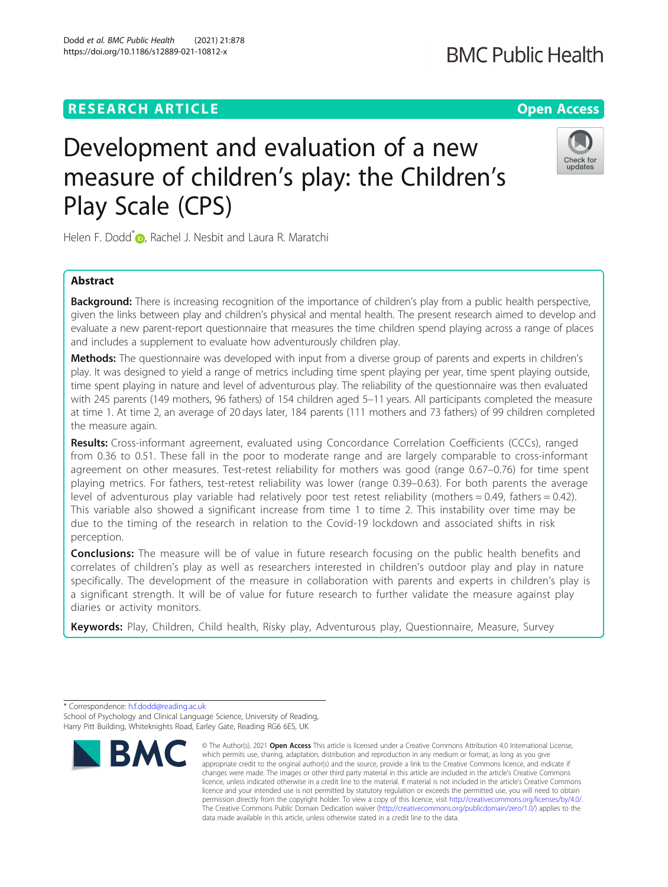# **RESEARCH ARTICLE Example 2014 12:30 The Contract of Contract ACCESS**

# Development and evaluation of a new measure of children's play: the Children's Play Scale (CPS)

Helen F. Dodd<sup>[\\*](http://orcid.org/0000-0003-1446-5338)</sup> , Rachel J. Nesbit and Laura R. Maratchi

# Abstract

**Background:** There is increasing recognition of the importance of children's play from a public health perspective, given the links between play and children's physical and mental health. The present research aimed to develop and evaluate a new parent-report questionnaire that measures the time children spend playing across a range of places and includes a supplement to evaluate how adventurously children play.

Methods: The questionnaire was developed with input from a diverse group of parents and experts in children's play. It was designed to yield a range of metrics including time spent playing per year, time spent playing outside, time spent playing in nature and level of adventurous play. The reliability of the questionnaire was then evaluated with 245 parents (149 mothers, 96 fathers) of 154 children aged 5–11 years. All participants completed the measure at time 1. At time 2, an average of 20 days later, 184 parents (111 mothers and 73 fathers) of 99 children completed the measure again.

Results: Cross-informant agreement, evaluated using Concordance Correlation Coefficients (CCCs), ranged from 0.36 to 0.51. These fall in the poor to moderate range and are largely comparable to cross-informant agreement on other measures. Test-retest reliability for mothers was good (range 0.67–0.76) for time spent playing metrics. For fathers, test-retest reliability was lower (range 0.39–0.63). For both parents the average level of adventurous play variable had relatively poor test retest reliability (mothers = 0.49, fathers = 0.42). This variable also showed a significant increase from time 1 to time 2. This instability over time may be due to the timing of the research in relation to the Covid-19 lockdown and associated shifts in risk perception.

**Conclusions:** The measure will be of value in future research focusing on the public health benefits and correlates of children's play as well as researchers interested in children's outdoor play and play in nature specifically. The development of the measure in collaboration with parents and experts in children's play is a significant strength. It will be of value for future research to further validate the measure against play diaries or activity monitors.

Keywords: Play, Children, Child health, Risky play, Adventurous play, Questionnaire, Measure, Survey

\* Correspondence: [h.f.dodd@reading.ac.uk](mailto:h.f.dodd@reading.ac.uk) School of Psychology and Clinical Language Science, University of Reading, Harry Pitt Building, Whiteknights Road, Earley Gate, Reading RG6 6ES, UK









<sup>©</sup> The Author(s), 2021 **Open Access** This article is licensed under a Creative Commons Attribution 4.0 International License, which permits use, sharing, adaptation, distribution and reproduction in any medium or format, as long as you give appropriate credit to the original author(s) and the source, provide a link to the Creative Commons licence, and indicate if changes were made. The images or other third party material in this article are included in the article's Creative Commons licence, unless indicated otherwise in a credit line to the material. If material is not included in the article's Creative Commons licence and your intended use is not permitted by statutory regulation or exceeds the permitted use, you will need to obtain permission directly from the copyright holder. To view a copy of this licence, visit [http://creativecommons.org/licenses/by/4.0/.](http://creativecommons.org/licenses/by/4.0/) The Creative Commons Public Domain Dedication waiver [\(http://creativecommons.org/publicdomain/zero/1.0/](http://creativecommons.org/publicdomain/zero/1.0/)) applies to the data made available in this article, unless otherwise stated in a credit line to the data.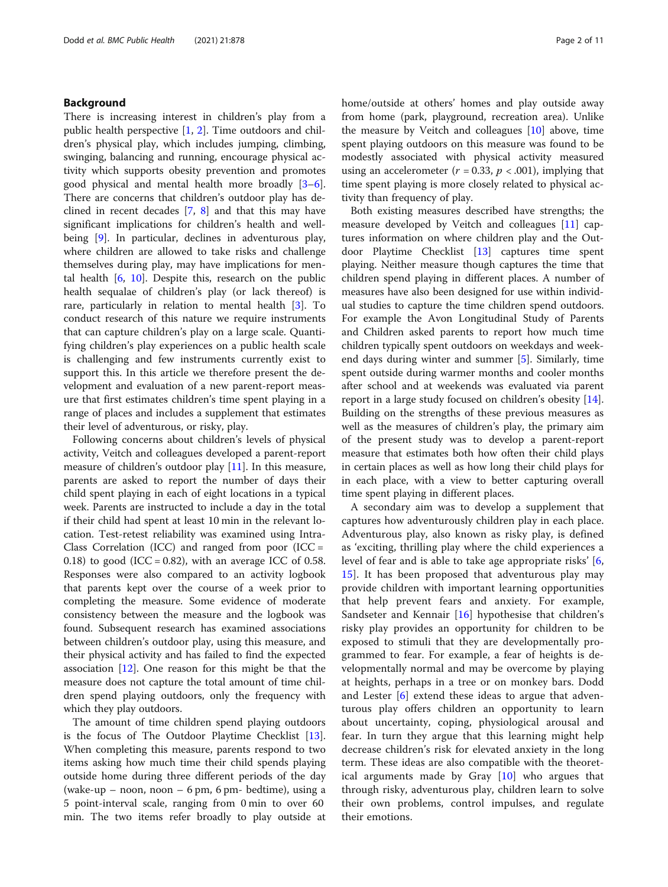# Background

There is increasing interest in children's play from a public health perspective [[1](#page-10-0), [2\]](#page-10-0). Time outdoors and children's physical play, which includes jumping, climbing, swinging, balancing and running, encourage physical activity which supports obesity prevention and promotes good physical and mental health more broadly [\[3](#page-10-0)–[6](#page-10-0)]. There are concerns that children's outdoor play has declined in recent decades [\[7](#page-10-0), [8\]](#page-10-0) and that this may have significant implications for children's health and wellbeing [[9](#page-10-0)]. In particular, declines in adventurous play, where children are allowed to take risks and challenge themselves during play, may have implications for mental health [[6,](#page-10-0) [10](#page-10-0)]. Despite this, research on the public health sequalae of children's play (or lack thereof) is rare, particularly in relation to mental health [\[3](#page-10-0)]. To conduct research of this nature we require instruments that can capture children's play on a large scale. Quantifying children's play experiences on a public health scale is challenging and few instruments currently exist to support this. In this article we therefore present the development and evaluation of a new parent-report measure that first estimates children's time spent playing in a range of places and includes a supplement that estimates their level of adventurous, or risky, play.

Following concerns about children's levels of physical activity, Veitch and colleagues developed a parent-report measure of children's outdoor play [\[11](#page-10-0)]. In this measure, parents are asked to report the number of days their child spent playing in each of eight locations in a typical week. Parents are instructed to include a day in the total if their child had spent at least 10 min in the relevant location. Test-retest reliability was examined using Intra-Class Correlation (ICC) and ranged from poor (ICC  $=$ 0.18) to good (ICC = 0.82), with an average ICC of 0.58. Responses were also compared to an activity logbook that parents kept over the course of a week prior to completing the measure. Some evidence of moderate consistency between the measure and the logbook was found. Subsequent research has examined associations between children's outdoor play, using this measure, and their physical activity and has failed to find the expected association [[12\]](#page-10-0). One reason for this might be that the measure does not capture the total amount of time children spend playing outdoors, only the frequency with which they play outdoors.

The amount of time children spend playing outdoors is the focus of The Outdoor Playtime Checklist [\[13](#page-10-0)]. When completing this measure, parents respond to two items asking how much time their child spends playing outside home during three different periods of the day (wake-up – noon, noon – 6 pm, 6 pm- bedtime), using a 5 point-interval scale, ranging from 0 min to over 60 min. The two items refer broadly to play outside at home/outside at others' homes and play outside away from home (park, playground, recreation area). Unlike the measure by Veitch and colleagues [\[10\]](#page-10-0) above, time spent playing outdoors on this measure was found to be modestly associated with physical activity measured using an accelerometer ( $r = 0.33$ ,  $p < .001$ ), implying that time spent playing is more closely related to physical activity than frequency of play.

Both existing measures described have strengths; the measure developed by Veitch and colleagues [\[11](#page-10-0)] captures information on where children play and the Outdoor Playtime Checklist [\[13](#page-10-0)] captures time spent playing. Neither measure though captures the time that children spend playing in different places. A number of measures have also been designed for use within individual studies to capture the time children spend outdoors. For example the Avon Longitudinal Study of Parents and Children asked parents to report how much time children typically spent outdoors on weekdays and weekend days during winter and summer [[5](#page-10-0)]. Similarly, time spent outside during warmer months and cooler months after school and at weekends was evaluated via parent report in a large study focused on children's obesity [\[14](#page-10-0)]. Building on the strengths of these previous measures as well as the measures of children's play, the primary aim of the present study was to develop a parent-report measure that estimates both how often their child plays in certain places as well as how long their child plays for in each place, with a view to better capturing overall time spent playing in different places.

A secondary aim was to develop a supplement that captures how adventurously children play in each place. Adventurous play, also known as risky play, is defined as 'exciting, thrilling play where the child experiences a level of fear and is able to take age appropriate risks' [\[6](#page-10-0), [15\]](#page-10-0). It has been proposed that adventurous play may provide children with important learning opportunities that help prevent fears and anxiety. For example, Sandseter and Kennair [[16\]](#page-10-0) hypothesise that children's risky play provides an opportunity for children to be exposed to stimuli that they are developmentally programmed to fear. For example, a fear of heights is developmentally normal and may be overcome by playing at heights, perhaps in a tree or on monkey bars. Dodd and Lester [[6\]](#page-10-0) extend these ideas to argue that adventurous play offers children an opportunity to learn about uncertainty, coping, physiological arousal and fear. In turn they argue that this learning might help decrease children's risk for elevated anxiety in the long term. These ideas are also compatible with the theoretical arguments made by Gray [\[10](#page-10-0)] who argues that through risky, adventurous play, children learn to solve their own problems, control impulses, and regulate their emotions.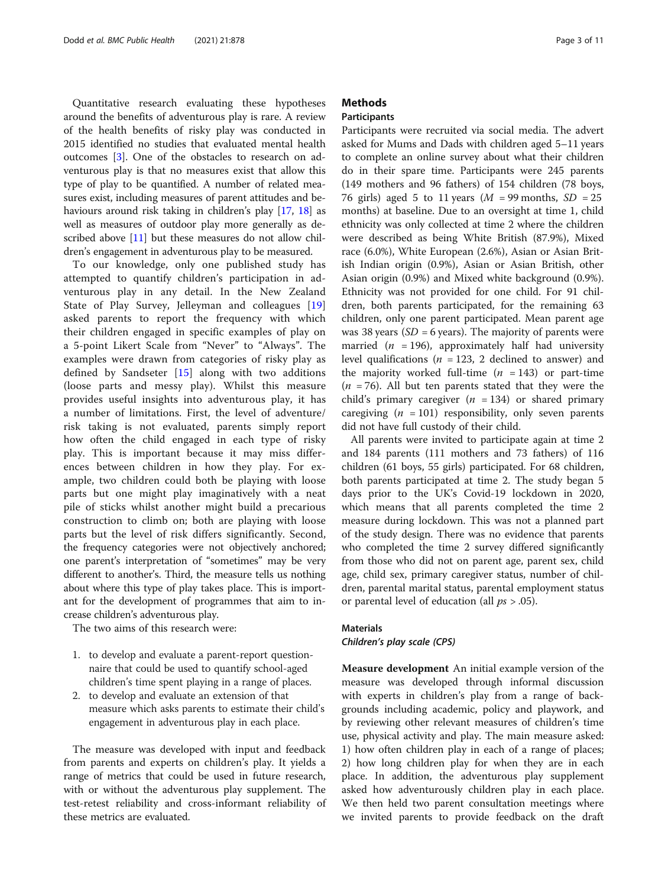Quantitative research evaluating these hypotheses around the benefits of adventurous play is rare. A review of the health benefits of risky play was conducted in 2015 identified no studies that evaluated mental health outcomes [[3\]](#page-10-0). One of the obstacles to research on adventurous play is that no measures exist that allow this type of play to be quantified. A number of related measures exist, including measures of parent attitudes and be-haviours around risk taking in children's play [\[17](#page-10-0), [18\]](#page-10-0) as well as measures of outdoor play more generally as described above [[11](#page-10-0)] but these measures do not allow children's engagement in adventurous play to be measured.

To our knowledge, only one published study has attempted to quantify children's participation in adventurous play in any detail. In the New Zealand State of Play Survey, Jelleyman and colleagues [\[19](#page-10-0)] asked parents to report the frequency with which their children engaged in specific examples of play on a 5-point Likert Scale from "Never" to "Always". The examples were drawn from categories of risky play as defined by Sandseter [[15\]](#page-10-0) along with two additions (loose parts and messy play). Whilst this measure provides useful insights into adventurous play, it has a number of limitations. First, the level of adventure/ risk taking is not evaluated, parents simply report how often the child engaged in each type of risky play. This is important because it may miss differences between children in how they play. For example, two children could both be playing with loose parts but one might play imaginatively with a neat pile of sticks whilst another might build a precarious construction to climb on; both are playing with loose parts but the level of risk differs significantly. Second, the frequency categories were not objectively anchored; one parent's interpretation of "sometimes" may be very different to another's. Third, the measure tells us nothing about where this type of play takes place. This is important for the development of programmes that aim to increase children's adventurous play.

The two aims of this research were:

- 1. to develop and evaluate a parent-report questionnaire that could be used to quantify school-aged children's time spent playing in a range of places.
- 2. to develop and evaluate an extension of that measure which asks parents to estimate their child's engagement in adventurous play in each place.

The measure was developed with input and feedback from parents and experts on children's play. It yields a range of metrics that could be used in future research, with or without the adventurous play supplement. The test-retest reliability and cross-informant reliability of these metrics are evaluated.

# **Methods**

# Participants

Participants were recruited via social media. The advert asked for Mums and Dads with children aged 5–11 years to complete an online survey about what their children do in their spare time. Participants were 245 parents (149 mothers and 96 fathers) of 154 children (78 boys, 76 girls) aged 5 to 11 years  $(M = 99 \text{ months}, SD = 25$ months) at baseline. Due to an oversight at time 1, child ethnicity was only collected at time 2 where the children were described as being White British (87.9%), Mixed race (6.0%), White European (2.6%), Asian or Asian British Indian origin (0.9%), Asian or Asian British, other Asian origin (0.9%) and Mixed white background (0.9%). Ethnicity was not provided for one child. For 91 children, both parents participated, for the remaining 63 children, only one parent participated. Mean parent age was 38 years ( $SD = 6$  years). The majority of parents were married ( $n = 196$ ), approximately half had university level qualifications ( $n = 123$ , 2 declined to answer) and the majority worked full-time  $(n = 143)$  or part-time  $(n = 76)$ . All but ten parents stated that they were the child's primary caregiver  $(n = 134)$  or shared primary caregiving  $(n = 101)$  responsibility, only seven parents did not have full custody of their child.

All parents were invited to participate again at time 2 and 184 parents (111 mothers and 73 fathers) of 116 children (61 boys, 55 girls) participated. For 68 children, both parents participated at time 2. The study began 5 days prior to the UK's Covid-19 lockdown in 2020, which means that all parents completed the time 2 measure during lockdown. This was not a planned part of the study design. There was no evidence that parents who completed the time 2 survey differed significantly from those who did not on parent age, parent sex, child age, child sex, primary caregiver status, number of children, parental marital status, parental employment status or parental level of education (all  $ps > .05$ ).

# Materials

Children's play scale (CPS)

Measure development An initial example version of the measure was developed through informal discussion with experts in children's play from a range of backgrounds including academic, policy and playwork, and by reviewing other relevant measures of children's time use, physical activity and play. The main measure asked: 1) how often children play in each of a range of places; 2) how long children play for when they are in each place. In addition, the adventurous play supplement asked how adventurously children play in each place. We then held two parent consultation meetings where we invited parents to provide feedback on the draft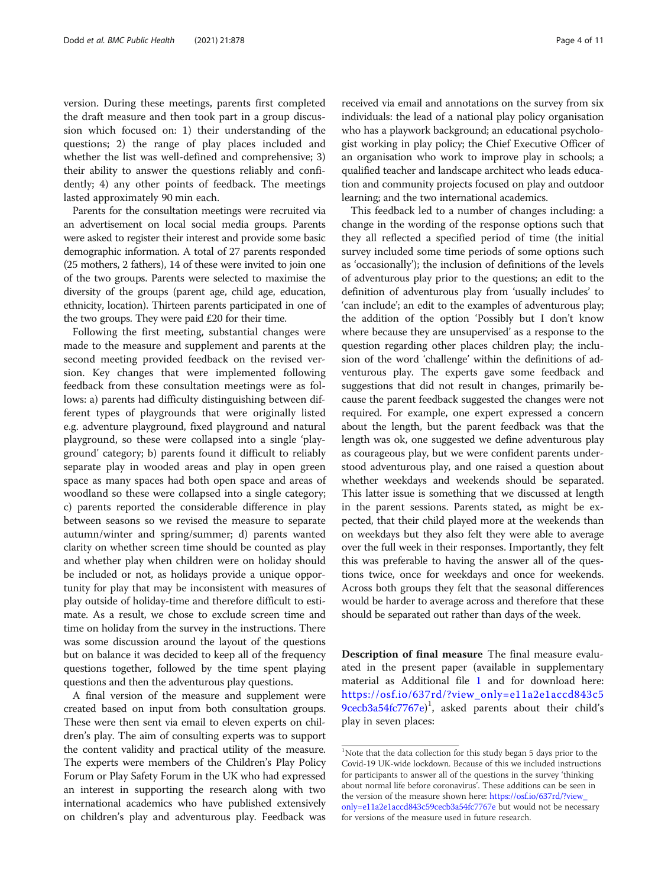version. During these meetings, parents first completed the draft measure and then took part in a group discussion which focused on: 1) their understanding of the questions; 2) the range of play places included and whether the list was well-defined and comprehensive; 3) their ability to answer the questions reliably and confidently; 4) any other points of feedback. The meetings lasted approximately 90 min each.

Parents for the consultation meetings were recruited via an advertisement on local social media groups. Parents were asked to register their interest and provide some basic demographic information. A total of 27 parents responded (25 mothers, 2 fathers), 14 of these were invited to join one of the two groups. Parents were selected to maximise the diversity of the groups (parent age, child age, education, ethnicity, location). Thirteen parents participated in one of the two groups. They were paid £20 for their time.

Following the first meeting, substantial changes were made to the measure and supplement and parents at the second meeting provided feedback on the revised version. Key changes that were implemented following feedback from these consultation meetings were as follows: a) parents had difficulty distinguishing between different types of playgrounds that were originally listed e.g. adventure playground, fixed playground and natural playground, so these were collapsed into a single 'playground' category; b) parents found it difficult to reliably separate play in wooded areas and play in open green space as many spaces had both open space and areas of woodland so these were collapsed into a single category; c) parents reported the considerable difference in play between seasons so we revised the measure to separate autumn/winter and spring/summer; d) parents wanted clarity on whether screen time should be counted as play and whether play when children were on holiday should be included or not, as holidays provide a unique opportunity for play that may be inconsistent with measures of play outside of holiday-time and therefore difficult to estimate. As a result, we chose to exclude screen time and time on holiday from the survey in the instructions. There was some discussion around the layout of the questions but on balance it was decided to keep all of the frequency questions together, followed by the time spent playing questions and then the adventurous play questions.

A final version of the measure and supplement were created based on input from both consultation groups. These were then sent via email to eleven experts on children's play. The aim of consulting experts was to support the content validity and practical utility of the measure. The experts were members of the Children's Play Policy Forum or Play Safety Forum in the UK who had expressed an interest in supporting the research along with two international academics who have published extensively on children's play and adventurous play. Feedback was

received via email and annotations on the survey from six individuals: the lead of a national play policy organisation who has a playwork background; an educational psychologist working in play policy; the Chief Executive Officer of an organisation who work to improve play in schools; a qualified teacher and landscape architect who leads education and community projects focused on play and outdoor learning; and the two international academics.

This feedback led to a number of changes including: a change in the wording of the response options such that they all reflected a specified period of time (the initial survey included some time periods of some options such as 'occasionally'); the inclusion of definitions of the levels of adventurous play prior to the questions; an edit to the definition of adventurous play from 'usually includes' to 'can include'; an edit to the examples of adventurous play; the addition of the option 'Possibly but I don't know where because they are unsupervised' as a response to the question regarding other places children play; the inclusion of the word 'challenge' within the definitions of adventurous play. The experts gave some feedback and suggestions that did not result in changes, primarily because the parent feedback suggested the changes were not required. For example, one expert expressed a concern about the length, but the parent feedback was that the length was ok, one suggested we define adventurous play as courageous play, but we were confident parents understood adventurous play, and one raised a question about whether weekdays and weekends should be separated. This latter issue is something that we discussed at length in the parent sessions. Parents stated, as might be expected, that their child played more at the weekends than on weekdays but they also felt they were able to average over the full week in their responses. Importantly, they felt this was preferable to having the answer all of the questions twice, once for weekdays and once for weekends. Across both groups they felt that the seasonal differences would be harder to average across and therefore that these should be separated out rather than days of the week.

Description of final measure The final measure evaluated in the present paper (available in supplementary material as Additional file [1](#page-9-0) and for download here: [https://osf.io/637rd/?view\\_only=e11a2e1accd843c5](https://osf.io/637rd/?view_only=e11a2e1accd843c59cecb3a54fc7767e) [9cecb3a54fc7767e](https://osf.io/637rd/?view_only=e11a2e1accd843c59cecb3a54fc7767e)) 1 , asked parents about their child's play in seven places:

<sup>&</sup>lt;sup>1</sup>Note that the data collection for this study began 5 days prior to the Covid-19 UK-wide lockdown. Because of this we included instructions for participants to answer all of the questions in the survey 'thinking about normal life before coronavirus'. These additions can be seen in the version of the measure shown here: [https://osf.io/637rd/?view\\_](https://osf.io/637rd/?view_only=e11a2e1accd843c59cecb3a54fc7767e) [only=e11a2e1accd843c59cecb3a54fc7767e](https://osf.io/637rd/?view_only=e11a2e1accd843c59cecb3a54fc7767e) but would not be necessary for versions of the measure used in future research.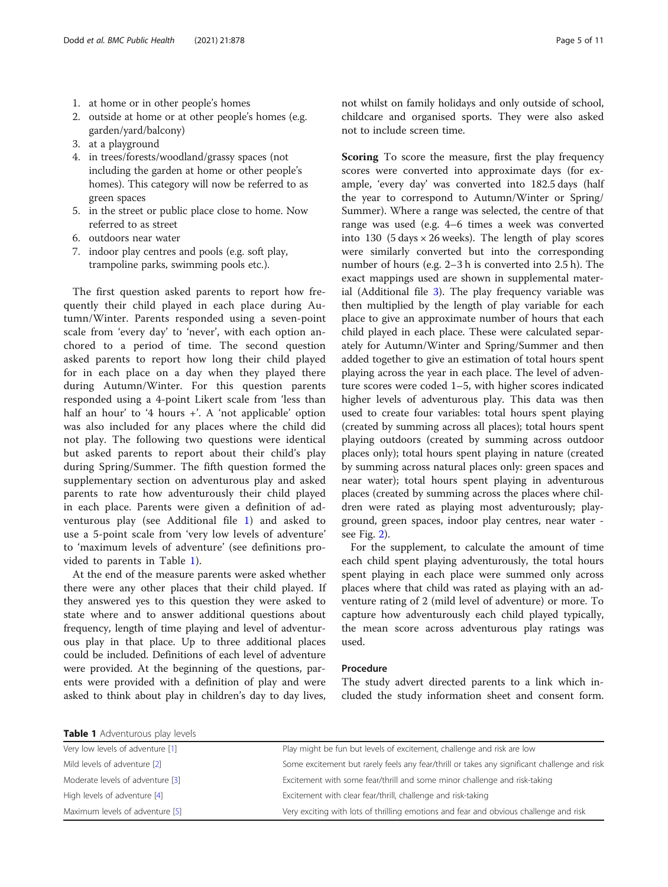- <span id="page-4-0"></span>1. at home or in other people's homes
- 2. outside at home or at other people's homes (e.g. garden/yard/balcony)
- 3. at a playground
- 4. in trees/forests/woodland/grassy spaces (not including the garden at home or other people's homes). This category will now be referred to as green spaces
- 5. in the street or public place close to home. Now referred to as street
- 6. outdoors near water
- 7. indoor play centres and pools (e.g. soft play, trampoline parks, swimming pools etc.).

The first question asked parents to report how frequently their child played in each place during Autumn/Winter. Parents responded using a seven-point scale from 'every day' to 'never', with each option anchored to a period of time. The second question asked parents to report how long their child played for in each place on a day when they played there during Autumn/Winter. For this question parents responded using a 4-point Likert scale from 'less than half an hour' to '4 hours +'. A 'not applicable' option was also included for any places where the child did not play. The following two questions were identical but asked parents to report about their child's play during Spring/Summer. The fifth question formed the supplementary section on adventurous play and asked parents to rate how adventurously their child played in each place. Parents were given a definition of adventurous play (see Additional file [1\)](#page-9-0) and asked to use a 5-point scale from 'very low levels of adventure' to 'maximum levels of adventure' (see definitions provided to parents in Table 1).

At the end of the measure parents were asked whether there were any other places that their child played. If they answered yes to this question they were asked to state where and to answer additional questions about frequency, length of time playing and level of adventurous play in that place. Up to three additional places could be included. Definitions of each level of adventure were provided. At the beginning of the questions, parents were provided with a definition of play and were asked to think about play in children's day to day lives, Scoring To score the measure, first the play frequency scores were converted into approximate days (for example, 'every day' was converted into 182.5 days (half the year to correspond to Autumn/Winter or Spring/ Summer). Where a range was selected, the centre of that range was used (e.g. 4–6 times a week was converted into 130 (5 days  $\times$  26 weeks). The length of play scores were similarly converted but into the corresponding number of hours (e.g. 2–3 h is converted into 2.5 h). The exact mappings used are shown in supplemental material (Additional file [3](#page-9-0)). The play frequency variable was then multiplied by the length of play variable for each place to give an approximate number of hours that each child played in each place. These were calculated separately for Autumn/Winter and Spring/Summer and then added together to give an estimation of total hours spent playing across the year in each place. The level of adventure scores were coded 1–5, with higher scores indicated higher levels of adventurous play. This data was then used to create four variables: total hours spent playing (created by summing across all places); total hours spent playing outdoors (created by summing across outdoor places only); total hours spent playing in nature (created by summing across natural places only: green spaces and near water); total hours spent playing in adventurous places (created by summing across the places where children were rated as playing most adventurously; playground, green spaces, indoor play centres, near water see Fig. [2\)](#page-6-0).

For the supplement, to calculate the amount of time each child spent playing adventurously, the total hours spent playing in each place were summed only across places where that child was rated as playing with an adventure rating of 2 (mild level of adventure) or more. To capture how adventurously each child played typically, the mean score across adventurous play ratings was used.

# Procedure

The study advert directed parents to a link which included the study information sheet and consent form.

Table 1 Adventurous play levels

| Very low levels of adventure [1] | Play might be fun but levels of excitement, challenge and risk are low                       |
|----------------------------------|----------------------------------------------------------------------------------------------|
| Mild levels of adventure [2]     | Some excitement but rarely feels any fear/thrill or takes any significant challenge and risk |
| Moderate levels of adventure [3] | Excitement with some fear/thrill and some minor challenge and risk-taking                    |
| High levels of adventure [4]     | Excitement with clear fear/thrill, challenge and risk-taking                                 |
| Maximum levels of adventure [5]  | Very exciting with lots of thrilling emotions and fear and obvious challenge and risk        |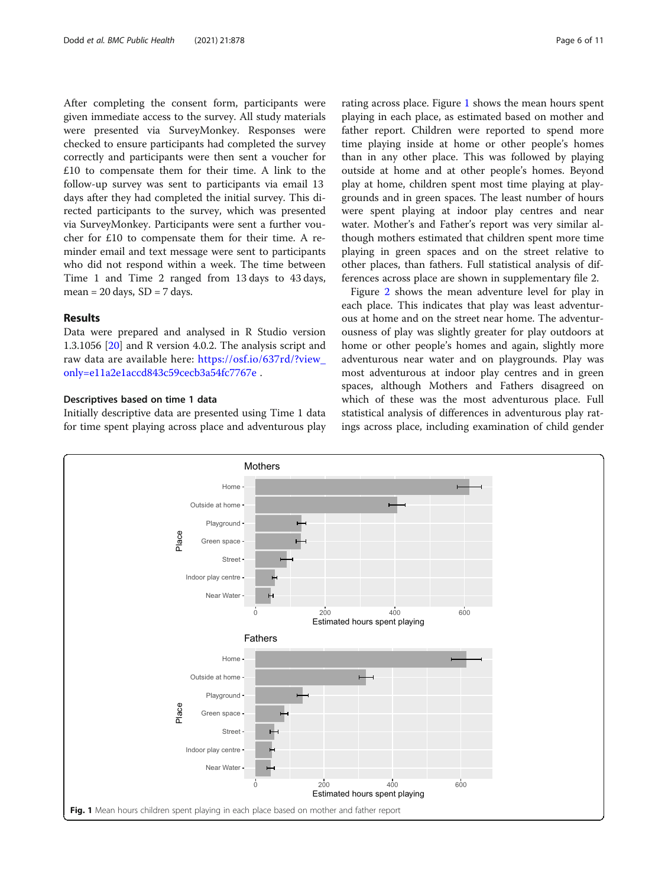After completing the consent form, participants were given immediate access to the survey. All study materials were presented via SurveyMonkey. Responses were checked to ensure participants had completed the survey correctly and participants were then sent a voucher for £10 to compensate them for their time. A link to the follow-up survey was sent to participants via email 13 days after they had completed the initial survey. This directed participants to the survey, which was presented via SurveyMonkey. Participants were sent a further voucher for £10 to compensate them for their time. A reminder email and text message were sent to participants who did not respond within a week. The time between Time 1 and Time 2 ranged from 13 days to 43 days, mean =  $20 \text{ days}$ , SD =  $7 \text{ days}$ .

# Results

Data were prepared and analysed in R Studio version 1.3.1056 [[20](#page-10-0)] and R version 4.0.2. The analysis script and raw data are available here: [https://osf.io/637rd/?view\\_](https://osf.io/637rd/?view_only=e11a2e1accd843c59cecb3a54fc7767e) [only=e11a2e1accd843c59cecb3a54fc7767e](https://osf.io/637rd/?view_only=e11a2e1accd843c59cecb3a54fc7767e) .

# Descriptives based on time 1 data

Initially descriptive data are presented using Time 1 data for time spent playing across place and adventurous play rating across place. Figure 1 shows the mean hours spent playing in each place, as estimated based on mother and father report. Children were reported to spend more time playing inside at home or other people's homes than in any other place. This was followed by playing outside at home and at other people's homes. Beyond play at home, children spent most time playing at playgrounds and in green spaces. The least number of hours were spent playing at indoor play centres and near water. Mother's and Father's report was very similar although mothers estimated that children spent more time playing in green spaces and on the street relative to other places, than fathers. Full statistical analysis of differences across place are shown in supplementary file 2.

Figure [2](#page-6-0) shows the mean adventure level for play in each place. This indicates that play was least adventurous at home and on the street near home. The adventurousness of play was slightly greater for play outdoors at home or other people's homes and again, slightly more adventurous near water and on playgrounds. Play was most adventurous at indoor play centres and in green spaces, although Mothers and Fathers disagreed on which of these was the most adventurous place. Full statistical analysis of differences in adventurous play ratings across place, including examination of child gender

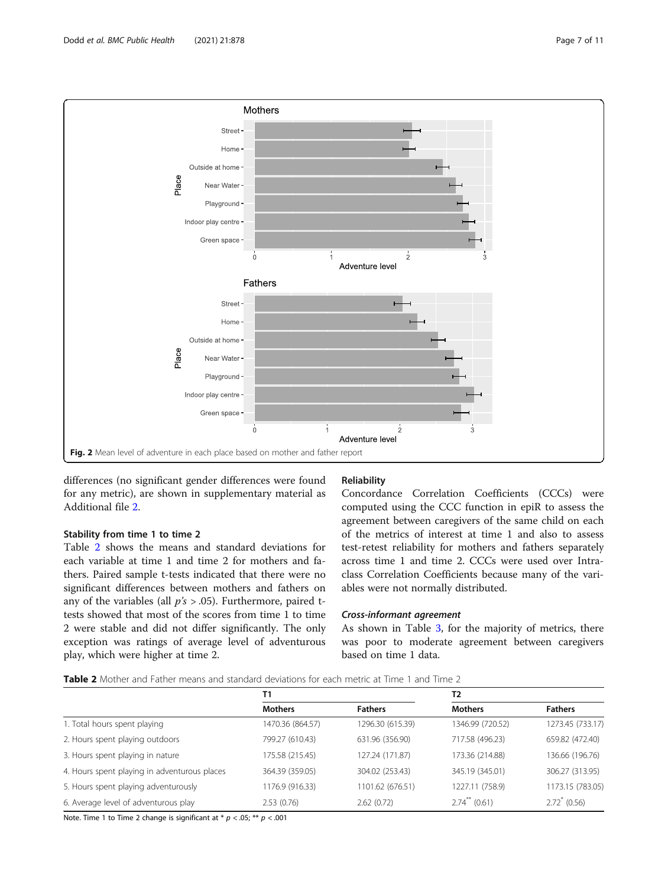<span id="page-6-0"></span>

differences (no significant gender differences were found for any metric), are shown in supplementary material as Additional file [2](#page-9-0).

# Stability from time 1 to time 2

Table 2 shows the means and standard deviations for each variable at time 1 and time 2 for mothers and fathers. Paired sample t-tests indicated that there were no significant differences between mothers and fathers on any of the variables (all  $p's > .05$ ). Furthermore, paired ttests showed that most of the scores from time 1 to time 2 were stable and did not differ significantly. The only exception was ratings of average level of adventurous play, which were higher at time 2.

# Reliability

Concordance Correlation Coefficients (CCCs) were computed using the CCC function in epiR to assess the agreement between caregivers of the same child on each of the metrics of interest at time 1 and also to assess test-retest reliability for mothers and fathers separately across time 1 and time 2. CCCs were used over Intraclass Correlation Coefficients because many of the variables were not normally distributed.

# Cross-informant agreement

As shown in Table [3](#page-7-0), for the majority of metrics, there was poor to moderate agreement between caregivers based on time 1 data.

# Table 2 Mother and Father means and standard deviations for each metric at Time 1 and Time 2

|                                              | Τ1               |                  | T <sub>2</sub>              |                  |
|----------------------------------------------|------------------|------------------|-----------------------------|------------------|
|                                              | <b>Mothers</b>   | <b>Fathers</b>   | <b>Mothers</b>              | <b>Fathers</b>   |
| 1. Total hours spent playing                 | 1470.36 (864.57) | 1296.30 (615.39) | 1346.99 (720.52)            | 1273.45 (733.17) |
| 2. Hours spent playing outdoors              | 799.27 (610.43)  | 631.96 (356.90)  | 717.58 (496.23)             | 659.82 (472.40)  |
| 3. Hours spent playing in nature             | 175.58 (215.45)  | 127.24 (171.87)  | 173.36 (214.88)             | 136.66 (196.76)  |
| 4. Hours spent playing in adventurous places | 364.39 (359.05)  | 304.02 (253.43)  | 345.19 (345.01)             | 306.27 (313.95)  |
| 5. Hours spent playing adventurously         | 1176.9 (916.33)  | 1101.62 (676.51) | 1227.11 (758.9)             | 1173.15 (783.05) |
| 6. Average level of adventurous play         | 2.53(0.76)       | 2.62(0.72)       | $2.74$ <sup>**</sup> (0.61) | $2.72^* (0.56)$  |

Note. Time 1 to Time 2 change is significant at  $* p < .05; ** p < .001$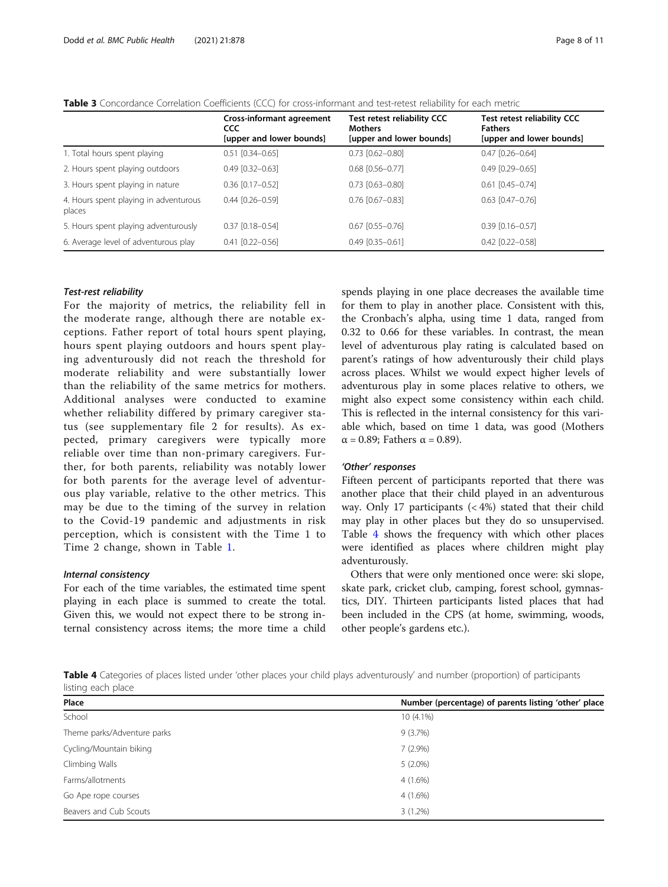<span id="page-7-0"></span>

| <b>Table 3</b> Concordance Correlation Coefficients (CCC) for cross-informant and test-retest reliability for each metric |  |
|---------------------------------------------------------------------------------------------------------------------------|--|
|---------------------------------------------------------------------------------------------------------------------------|--|

|                                                 | <b>Cross-informant agreement</b><br><b>CCC</b><br>[upper and lower bounds] | <b>Test retest reliability CCC</b><br><b>Mothers</b><br>[upper and lower bounds] | <b>Test retest reliability CCC</b><br><b>Fathers</b><br>[upper and lower bounds] |
|-------------------------------------------------|----------------------------------------------------------------------------|----------------------------------------------------------------------------------|----------------------------------------------------------------------------------|
| 1. Total hours spent playing                    | $0.51$ $[0.34 - 0.65]$                                                     | $0.73$ $[0.62 - 0.80]$                                                           | $0.47$ $[0.26 - 0.64]$                                                           |
| 2. Hours spent playing outdoors                 | $0.49$ $[0.32 - 0.63]$                                                     | $0.68$ $[0.56 - 0.77]$                                                           | $0.49$ $[0.29 - 0.65]$                                                           |
| 3. Hours spent playing in nature                | $0.36$ $[0.17 - 0.52]$                                                     | $0.73$ $[0.63 - 0.80]$                                                           | $0.61$ $[0.45 - 0.74]$                                                           |
| 4. Hours spent playing in adventurous<br>places | $0.44$ $[0.26 - 0.59]$                                                     | $0.76$ $[0.67 - 0.83]$                                                           | $0.63$ $[0.47 - 0.76]$                                                           |
| 5. Hours spent playing adventurously            | $0.37$ [0.18-0.54]                                                         | $0.67$ [0.55-0.76]                                                               | $0.39$ $[0.16 - 0.57]$                                                           |
| 6. Average level of adventurous play            | $0.41$ $[0.22 - 0.56]$                                                     | $0.49$ $[0.35 - 0.61]$                                                           | $0.42$ [0.22-0.58]                                                               |

#### Test-rest reliability

For the majority of metrics, the reliability fell in the moderate range, although there are notable exceptions. Father report of total hours spent playing, hours spent playing outdoors and hours spent playing adventurously did not reach the threshold for moderate reliability and were substantially lower than the reliability of the same metrics for mothers. Additional analyses were conducted to examine whether reliability differed by primary caregiver status (see supplementary file 2 for results). As expected, primary caregivers were typically more reliable over time than non-primary caregivers. Further, for both parents, reliability was notably lower for both parents for the average level of adventurous play variable, relative to the other metrics. This may be due to the timing of the survey in relation to the Covid-19 pandemic and adjustments in risk perception, which is consistent with the Time 1 to Time 2 change, shown in Table [1](#page-4-0).

# Internal consistency

For each of the time variables, the estimated time spent playing in each place is summed to create the total. Given this, we would not expect there to be strong internal consistency across items; the more time a child

spends playing in one place decreases the available time for them to play in another place. Consistent with this, the Cronbach's alpha, using time 1 data, ranged from 0.32 to 0.66 for these variables. In contrast, the mean level of adventurous play rating is calculated based on parent's ratings of how adventurously their child plays across places. Whilst we would expect higher levels of adventurous play in some places relative to others, we might also expect some consistency within each child. This is reflected in the internal consistency for this variable which, based on time 1 data, was good (Mothers  $\alpha$  = 0.89; Fathers  $\alpha$  = 0.89).

#### 'Other' responses

Fifteen percent of participants reported that there was another place that their child played in an adventurous way. Only 17 participants (< 4%) stated that their child may play in other places but they do so unsupervised. Table 4 shows the frequency with which other places were identified as places where children might play adventurously.

Others that were only mentioned once were: ski slope, skate park, cricket club, camping, forest school, gymnastics, DIY. Thirteen participants listed places that had been included in the CPS (at home, swimming, woods, other people's gardens etc.).

Table 4 Categories of places listed under 'other places your child plays adventurously' and number (proportion) of participants listing each place

| Place                       | Number (percentage) of parents listing 'other' place |
|-----------------------------|------------------------------------------------------|
| School                      | $10(4.1\%)$                                          |
| Theme parks/Adventure parks | 9(3.7%)                                              |
| Cycling/Mountain biking     | $7(2.9\%)$                                           |
| Climbing Walls              | $5(2.0\%)$                                           |
| Farms/allotments            | $4(1.6\%)$                                           |
| Go Ape rope courses         | $4(1.6\%)$                                           |
| Beavers and Cub Scouts      | $3(1.2\%)$                                           |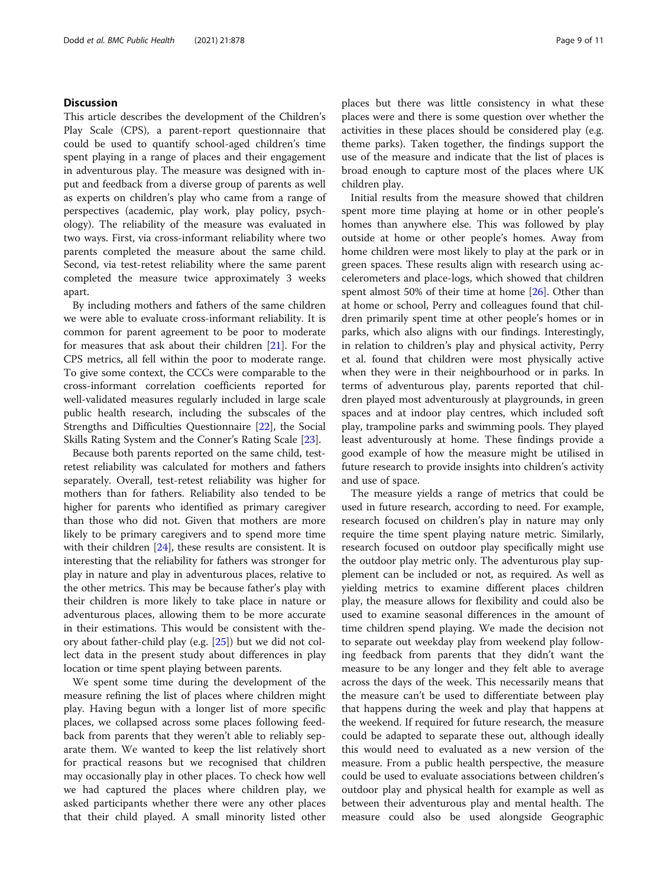# **Discussion**

This article describes the development of the Children's Play Scale (CPS), a parent-report questionnaire that could be used to quantify school-aged children's time spent playing in a range of places and their engagement in adventurous play. The measure was designed with input and feedback from a diverse group of parents as well as experts on children's play who came from a range of perspectives (academic, play work, play policy, psychology). The reliability of the measure was evaluated in two ways. First, via cross-informant reliability where two parents completed the measure about the same child. Second, via test-retest reliability where the same parent completed the measure twice approximately 3 weeks apart.

By including mothers and fathers of the same children we were able to evaluate cross-informant reliability. It is common for parent agreement to be poor to moderate for measures that ask about their children [[21\]](#page-10-0). For the CPS metrics, all fell within the poor to moderate range. To give some context, the CCCs were comparable to the cross-informant correlation coefficients reported for well-validated measures regularly included in large scale public health research, including the subscales of the Strengths and Difficulties Questionnaire [[22\]](#page-10-0), the Social Skills Rating System and the Conner's Rating Scale [\[23](#page-10-0)].

Because both parents reported on the same child, testretest reliability was calculated for mothers and fathers separately. Overall, test-retest reliability was higher for mothers than for fathers. Reliability also tended to be higher for parents who identified as primary caregiver than those who did not. Given that mothers are more likely to be primary caregivers and to spend more time with their children [[24\]](#page-10-0), these results are consistent. It is interesting that the reliability for fathers was stronger for play in nature and play in adventurous places, relative to the other metrics. This may be because father's play with their children is more likely to take place in nature or adventurous places, allowing them to be more accurate in their estimations. This would be consistent with theory about father-child play (e.g. [[25\]](#page-10-0)) but we did not collect data in the present study about differences in play location or time spent playing between parents.

We spent some time during the development of the measure refining the list of places where children might play. Having begun with a longer list of more specific places, we collapsed across some places following feedback from parents that they weren't able to reliably separate them. We wanted to keep the list relatively short for practical reasons but we recognised that children may occasionally play in other places. To check how well we had captured the places where children play, we asked participants whether there were any other places that their child played. A small minority listed other places but there was little consistency in what these places were and there is some question over whether the activities in these places should be considered play (e.g. theme parks). Taken together, the findings support the use of the measure and indicate that the list of places is broad enough to capture most of the places where UK children play.

Initial results from the measure showed that children spent more time playing at home or in other people's homes than anywhere else. This was followed by play outside at home or other people's homes. Away from home children were most likely to play at the park or in green spaces. These results align with research using accelerometers and place-logs, which showed that children spent almost 50% of their time at home [[26](#page-10-0)]. Other than at home or school, Perry and colleagues found that children primarily spent time at other people's homes or in parks, which also aligns with our findings. Interestingly, in relation to children's play and physical activity, Perry et al. found that children were most physically active when they were in their neighbourhood or in parks. In terms of adventurous play, parents reported that children played most adventurously at playgrounds, in green spaces and at indoor play centres, which included soft play, trampoline parks and swimming pools. They played least adventurously at home. These findings provide a good example of how the measure might be utilised in future research to provide insights into children's activity and use of space.

The measure yields a range of metrics that could be used in future research, according to need. For example, research focused on children's play in nature may only require the time spent playing nature metric. Similarly, research focused on outdoor play specifically might use the outdoor play metric only. The adventurous play supplement can be included or not, as required. As well as yielding metrics to examine different places children play, the measure allows for flexibility and could also be used to examine seasonal differences in the amount of time children spend playing. We made the decision not to separate out weekday play from weekend play following feedback from parents that they didn't want the measure to be any longer and they felt able to average across the days of the week. This necessarily means that the measure can't be used to differentiate between play that happens during the week and play that happens at the weekend. If required for future research, the measure could be adapted to separate these out, although ideally this would need to evaluated as a new version of the measure. From a public health perspective, the measure could be used to evaluate associations between children's outdoor play and physical health for example as well as between their adventurous play and mental health. The measure could also be used alongside Geographic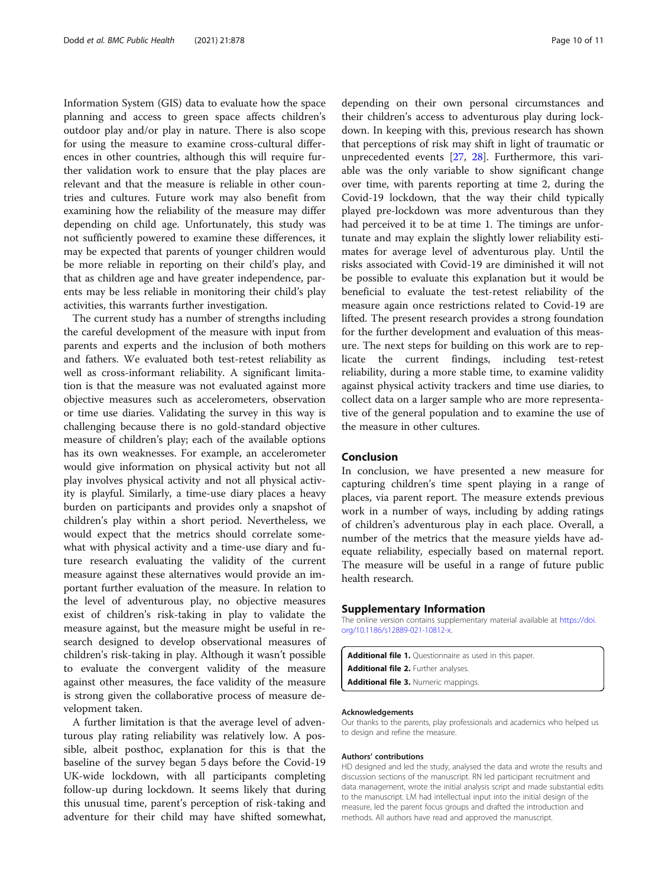<span id="page-9-0"></span>Information System (GIS) data to evaluate how the space planning and access to green space affects children's outdoor play and/or play in nature. There is also scope for using the measure to examine cross-cultural differences in other countries, although this will require further validation work to ensure that the play places are relevant and that the measure is reliable in other countries and cultures. Future work may also benefit from examining how the reliability of the measure may differ depending on child age. Unfortunately, this study was not sufficiently powered to examine these differences, it may be expected that parents of younger children would be more reliable in reporting on their child's play, and that as children age and have greater independence, parents may be less reliable in monitoring their child's play activities, this warrants further investigation.

The current study has a number of strengths including the careful development of the measure with input from parents and experts and the inclusion of both mothers and fathers. We evaluated both test-retest reliability as well as cross-informant reliability. A significant limitation is that the measure was not evaluated against more objective measures such as accelerometers, observation or time use diaries. Validating the survey in this way is challenging because there is no gold-standard objective measure of children's play; each of the available options has its own weaknesses. For example, an accelerometer would give information on physical activity but not all play involves physical activity and not all physical activity is playful. Similarly, a time-use diary places a heavy burden on participants and provides only a snapshot of children's play within a short period. Nevertheless, we would expect that the metrics should correlate somewhat with physical activity and a time-use diary and future research evaluating the validity of the current measure against these alternatives would provide an important further evaluation of the measure. In relation to the level of adventurous play, no objective measures exist of children's risk-taking in play to validate the measure against, but the measure might be useful in research designed to develop observational measures of children's risk-taking in play. Although it wasn't possible to evaluate the convergent validity of the measure against other measures, the face validity of the measure is strong given the collaborative process of measure development taken.

A further limitation is that the average level of adventurous play rating reliability was relatively low. A possible, albeit posthoc, explanation for this is that the baseline of the survey began 5 days before the Covid-19 UK-wide lockdown, with all participants completing follow-up during lockdown. It seems likely that during this unusual time, parent's perception of risk-taking and adventure for their child may have shifted somewhat,

depending on their own personal circumstances and their children's access to adventurous play during lockdown. In keeping with this, previous research has shown that perceptions of risk may shift in light of traumatic or unprecedented events [\[27,](#page-10-0) [28\]](#page-10-0). Furthermore, this variable was the only variable to show significant change over time, with parents reporting at time 2, during the Covid-19 lockdown, that the way their child typically played pre-lockdown was more adventurous than they had perceived it to be at time 1. The timings are unfortunate and may explain the slightly lower reliability estimates for average level of adventurous play. Until the risks associated with Covid-19 are diminished it will not be possible to evaluate this explanation but it would be beneficial to evaluate the test-retest reliability of the measure again once restrictions related to Covid-19 are lifted. The present research provides a strong foundation for the further development and evaluation of this measure. The next steps for building on this work are to replicate the current findings, including test-retest reliability, during a more stable time, to examine validity against physical activity trackers and time use diaries, to collect data on a larger sample who are more representative of the general population and to examine the use of the measure in other cultures.

# Conclusion

In conclusion, we have presented a new measure for capturing children's time spent playing in a range of places, via parent report. The measure extends previous work in a number of ways, including by adding ratings of children's adventurous play in each place. Overall, a number of the metrics that the measure yields have adequate reliability, especially based on maternal report. The measure will be useful in a range of future public health research.

#### Supplementary Information

The online version contains supplementary material available at [https://doi.](https://doi.org/10.1186/s12889-021-10812-x) [org/10.1186/s12889-021-10812-x](https://doi.org/10.1186/s12889-021-10812-x).

Additional file 1. Questionnaire as used in this paper. Additional file 2. Further analyses. Additional file 3. Numeric mappings.

#### Acknowledgements

Our thanks to the parents, play professionals and academics who helped us to design and refine the measure.

#### Authors' contributions

HD designed and led the study, analysed the data and wrote the results and discussion sections of the manuscript. RN led participant recruitment and data management, wrote the initial analysis script and made substantial edits to the manuscript. LM had intellectual input into the initial design of the measure, led the parent focus groups and drafted the introduction and methods. All authors have read and approved the manuscript.